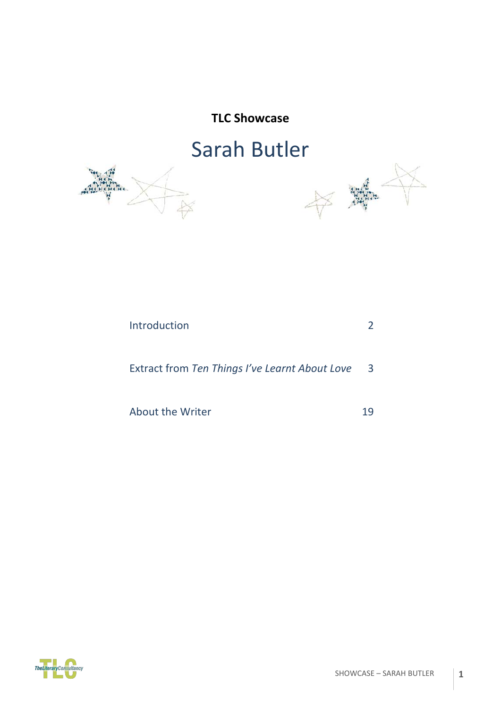# **TLC Showcase**

# Sarah Butler





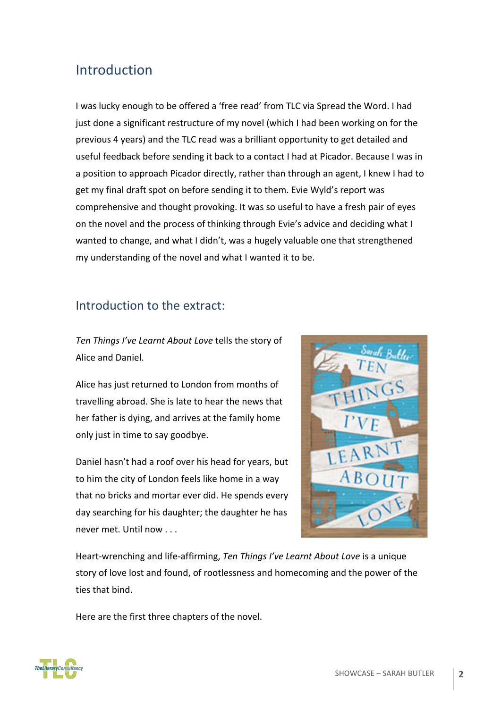## Introduction

I was lucky enough to be offered a 'free read' from TLC via Spread the Word. I had just done a significant restructure of my novel (which I had been working on for the previous 4 years) and the TLC read was a brilliant opportunity to get detailed and useful feedback before sending it back to a contact I had at Picador. Because I was in a position to approach Picador directly, rather than through an agent, I knew I had to get my final draft spot on before sending it to them. Evie Wyld's report was comprehensive and thought provoking. It was so useful to have a fresh pair of eyes on the novel and the process of thinking through Evie's advice and deciding what I wanted to change, and what I didn't, was a hugely valuable one that strengthened my understanding of the novel and what I wanted it to be.

## Introduction to the extract:

Ten Things I've Learnt About Love tells the story of Alice and Daniel

Alice has just returned to London from months of travelling abroad. She is late to hear the news that her father is dying, and arrives at the family home only just in time to say goodbye.

Daniel hasn't had a roof over his head for years, but to him the city of London feels like home in a way that no bricks and mortar ever did. He spends every day searching for his daughter; the daughter he has never met. Until now . . .



Heart-wrenching and life-affirming, *Ten Things I've Learnt About Love* is a unique story of love lost and found, of rootlessness and homecoming and the power of the ties that bind.

Here are the first three chapters of the novel.

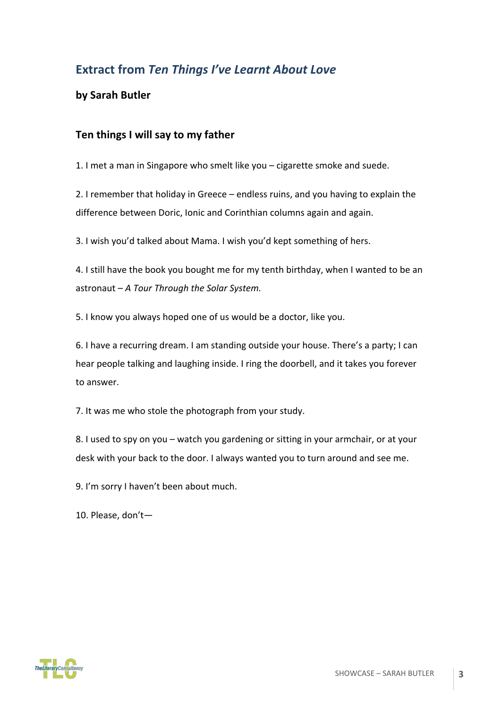## **Extract from Ten Things I've Learnt About Love**

#### **by Sarah Butler**

#### Ten things I will say to my father

1. I met a man in Singapore who smelt like you – cigarette smoke and suede.

2. I remember that holiday in Greece – endless ruins, and you having to explain the difference between Doric, Ionic and Corinthian columns again and again.

3. I wish you'd talked about Mama. I wish you'd kept something of hers.

4. I still have the book you bought me for my tenth birthday, when I wanted to be an astronaut – A Tour Through the Solar System.

5. I know you always hoped one of us would be a doctor, like you.

6. I have a recurring dream. I am standing outside your house. There's a party; I can hear people talking and laughing inside. I ring the doorbell, and it takes you forever to answer.

7. It was me who stole the photograph from your study.

8. I used to spy on you – watch you gardening or sitting in your armchair, or at your desk with your back to the door. I always wanted you to turn around and see me.

9. I'm sorry I haven't been about much.

10. Please, don't-

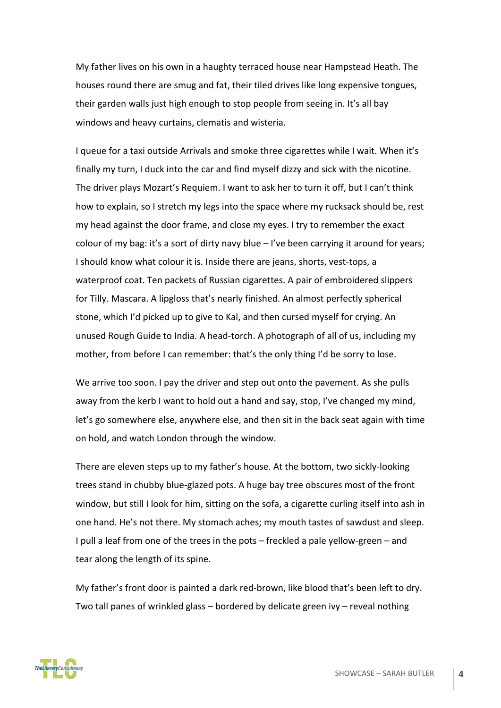My father lives on his own in a haughty terraced house near Hampstead Heath. The houses round there are smug and fat, their tiled drives like long expensive tongues, their garden walls just high enough to stop people from seeing in. It's all bay windows and heavy curtains, clematis and wisteria.

I queue for a taxi outside Arrivals and smoke three cigarettes while I wait. When it's finally my turn, I duck into the car and find myself dizzy and sick with the nicotine. The driver plays Mozart's Requiem. I want to ask her to turn it off, but I can't think how to explain, so I stretch my legs into the space where my rucksack should be, rest my head against the door frame, and close my eyes. I try to remember the exact colour of my bag: it's a sort of dirty navy blue  $-$  I've been carrying it around for years; I should know what colour it is. Inside there are jeans, shorts, vest-tops, a waterproof coat. Ten packets of Russian cigarettes. A pair of embroidered slippers for Tilly. Mascara. A lipgloss that's nearly finished. An almost perfectly spherical stone, which I'd picked up to give to Kal, and then cursed myself for crying. An unused Rough Guide to India. A head-torch. A photograph of all of us, including my mother, from before I can remember: that's the only thing I'd be sorry to lose.

We arrive too soon. I pay the driver and step out onto the pavement. As she pulls away from the kerb I want to hold out a hand and say, stop, I've changed my mind, let's go somewhere else, anywhere else, and then sit in the back seat again with time on hold, and watch London through the window.

There are eleven steps up to my father's house. At the bottom, two sickly-looking trees stand in chubby blue-glazed pots. A huge bay tree obscures most of the front window, but still I look for him, sitting on the sofa, a cigarette curling itself into ash in one hand. He's not there. My stomach aches; my mouth tastes of sawdust and sleep. I pull a leaf from one of the trees in the pots  $-$  freckled a pale yellow-green  $-$  and tear along the length of its spine.

My father's front door is painted a dark red-brown, like blood that's been left to dry. Two tall panes of wrinkled glass – bordered by delicate green  $ivy$  – reveal nothing

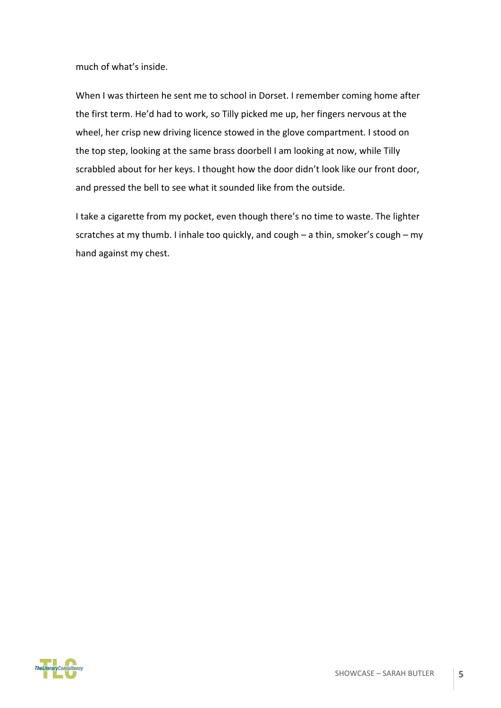much of what's inside.

When I was thirteen he sent me to school in Dorset. I remember coming home after the first term. He'd had to work, so Tilly picked me up, her fingers nervous at the wheel, her crisp new driving licence stowed in the glove compartment. I stood on the top step, looking at the same brass doorbell I am looking at now, while Tilly scrabbled about for her keys. I thought how the door didn't look like our front door, and pressed the bell to see what it sounded like from the outside.

I take a cigarette from my pocket, even though there's no time to waste. The lighter scratches at my thumb. I inhale too quickly, and cough  $-$  a thin, smoker's cough  $-$  my hand against my chest.

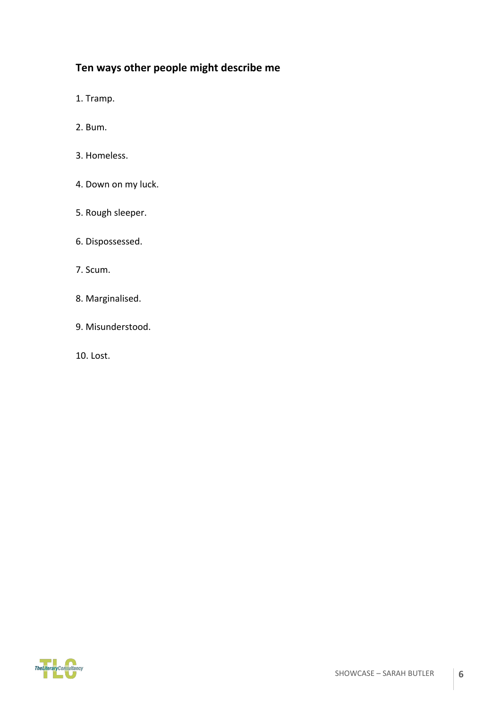### Ten ways other people might describe me

- 1. Tramp.
- 2. Bum.
- 3. Homeless.
- 4. Down on my luck.
- 5. Rough sleeper.
- 6. Dispossessed.
- 7. Scum.
- 8. Marginalised.
- 9. Misunderstood.
- 10. Lost.

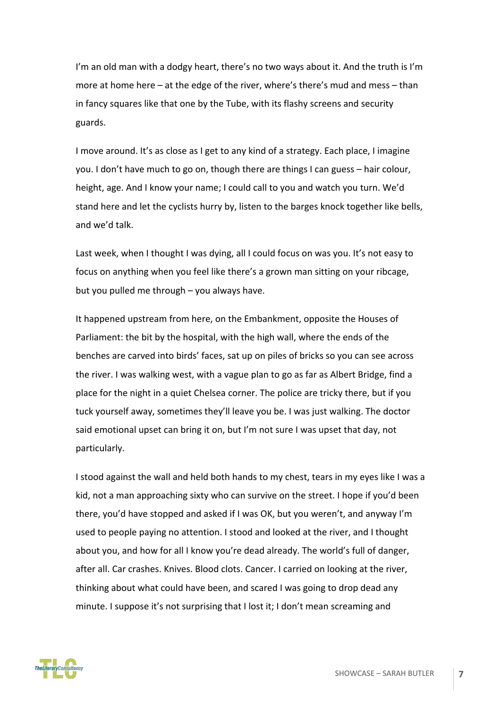I'm an old man with a dodgy heart, there's no two ways about it. And the truth is I'm more at home here  $-$  at the edge of the river, where's there's mud and mess  $-$  than in fancy squares like that one by the Tube, with its flashy screens and security guards.

I move around. It's as close as I get to any kind of a strategy. Each place, I imagine you. I don't have much to go on, though there are things I can guess - hair colour, height, age. And I know your name; I could call to you and watch you turn. We'd stand here and let the cyclists hurry by, listen to the barges knock together like bells, and we'd talk.

Last week, when I thought I was dying, all I could focus on was you. It's not easy to focus on anything when you feel like there's a grown man sitting on your ribcage, but you pulled me through  $-$  you always have.

It happened upstream from here, on the Embankment, opposite the Houses of Parliament: the bit by the hospital, with the high wall, where the ends of the benches are carved into birds' faces, sat up on piles of bricks so you can see across the river. I was walking west, with a vague plan to go as far as Albert Bridge, find a place for the night in a quiet Chelsea corner. The police are tricky there, but if you tuck yourself away, sometimes they'll leave you be. I was just walking. The doctor said emotional upset can bring it on, but I'm not sure I was upset that day, not particularly. 

I stood against the wall and held both hands to my chest, tears in my eyes like I was a kid, not a man approaching sixty who can survive on the street. I hope if you'd been there, you'd have stopped and asked if I was OK, but you weren't, and anyway I'm used to people paying no attention. I stood and looked at the river, and I thought about you, and how for all I know you're dead already. The world's full of danger, after all. Car crashes. Knives. Blood clots. Cancer. I carried on looking at the river, thinking about what could have been, and scared I was going to drop dead any minute. I suppose it's not surprising that I lost it; I don't mean screaming and

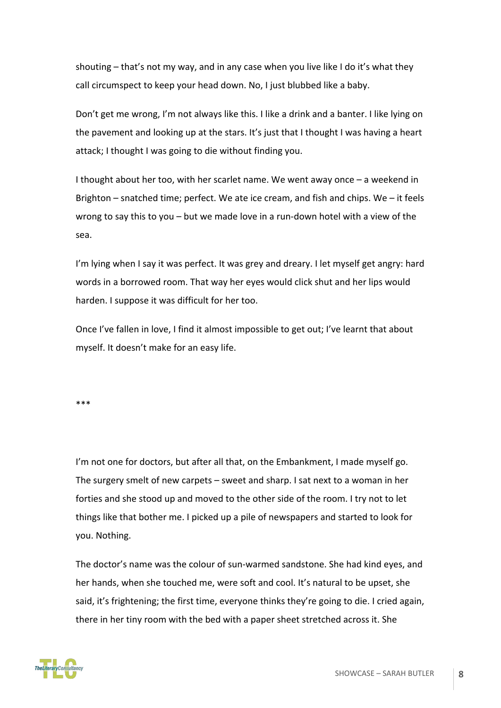shouting – that's not my way, and in any case when you live like I do it's what they call circumspect to keep your head down. No, I just blubbed like a baby.

Don't get me wrong, I'm not always like this. I like a drink and a banter. I like lying on the pavement and looking up at the stars. It's just that I thought I was having a heart attack; I thought I was going to die without finding you.

I thought about her too, with her scarlet name. We went away once  $-$  a weekend in Brighton – snatched time; perfect. We ate ice cream, and fish and chips. We – it feels wrong to say this to you – but we made love in a run-down hotel with a view of the sea. 

I'm lying when I say it was perfect. It was grey and dreary. I let myself get angry: hard words in a borrowed room. That way her eyes would click shut and her lips would harden. I suppose it was difficult for her too.

Once I've fallen in love, I find it almost impossible to get out; I've learnt that about myself. It doesn't make for an easy life.

\*\*\*

I'm not one for doctors, but after all that, on the Embankment, I made myself go. The surgery smelt of new carpets – sweet and sharp. I sat next to a woman in her forties and she stood up and moved to the other side of the room. I try not to let things like that bother me. I picked up a pile of newspapers and started to look for you. Nothing.

The doctor's name was the colour of sun-warmed sandstone. She had kind eyes, and her hands, when she touched me, were soft and cool. It's natural to be upset, she said, it's frightening; the first time, everyone thinks they're going to die. I cried again, there in her tiny room with the bed with a paper sheet stretched across it. She

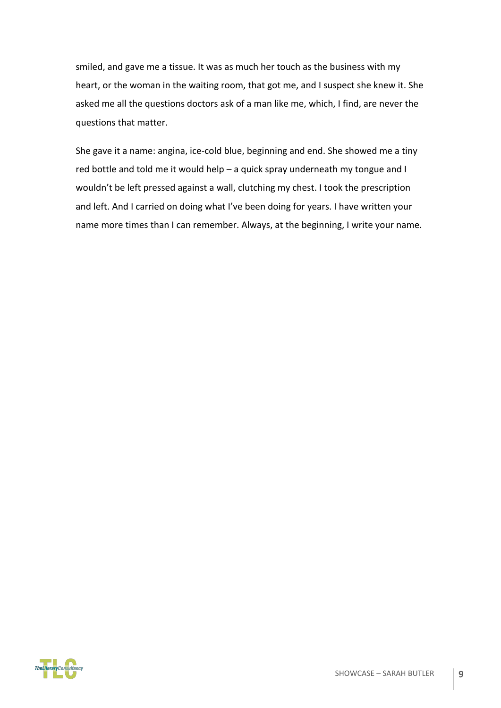smiled, and gave me a tissue. It was as much her touch as the business with my heart, or the woman in the waiting room, that got me, and I suspect she knew it. She asked me all the questions doctors ask of a man like me, which, I find, are never the questions that matter.

She gave it a name: angina, ice-cold blue, beginning and end. She showed me a tiny red bottle and told me it would help  $-$  a quick spray underneath my tongue and I wouldn't be left pressed against a wall, clutching my chest. I took the prescription and left. And I carried on doing what I've been doing for years. I have written your name more times than I can remember. Always, at the beginning, I write your name.

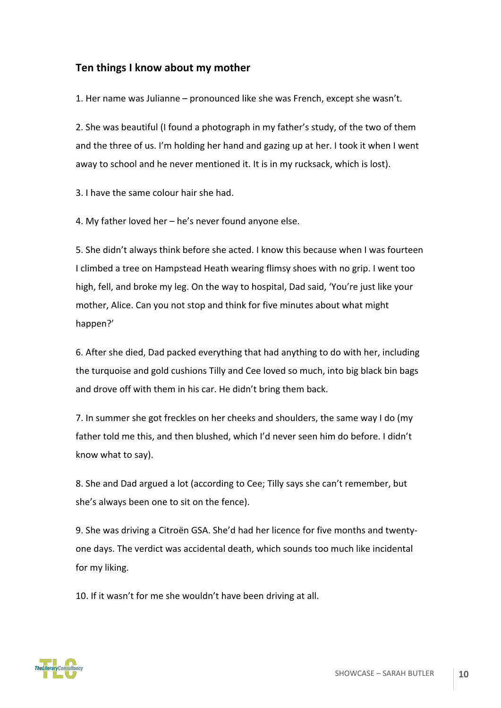#### **Ten things I know about my mother**

1. Her name was Julianne – pronounced like she was French, except she wasn't.

2. She was beautiful (I found a photograph in my father's study, of the two of them and the three of us. I'm holding her hand and gazing up at her. I took it when I went away to school and he never mentioned it. It is in my rucksack, which is lost).

3. I have the same colour hair she had.

4. My father loved her  $-$  he's never found anyone else.

5. She didn't always think before she acted. I know this because when I was fourteen I climbed a tree on Hampstead Heath wearing flimsy shoes with no grip. I went too high, fell, and broke my leg. On the way to hospital, Dad said, 'You're just like your mother, Alice. Can you not stop and think for five minutes about what might happen?'

6. After she died, Dad packed everything that had anything to do with her, including the turquoise and gold cushions Tilly and Cee loved so much, into big black bin bags and drove off with them in his car. He didn't bring them back.

7. In summer she got freckles on her cheeks and shoulders, the same way I do (my father told me this, and then blushed, which I'd never seen him do before. I didn't know what to say).

8. She and Dad argued a lot (according to Cee; Tilly says she can't remember, but she's always been one to sit on the fence).

9. She was driving a Citroën GSA. She'd had her licence for five months and twentyone days. The verdict was accidental death, which sounds too much like incidental for my liking.

10. If it wasn't for me she wouldn't have been driving at all.

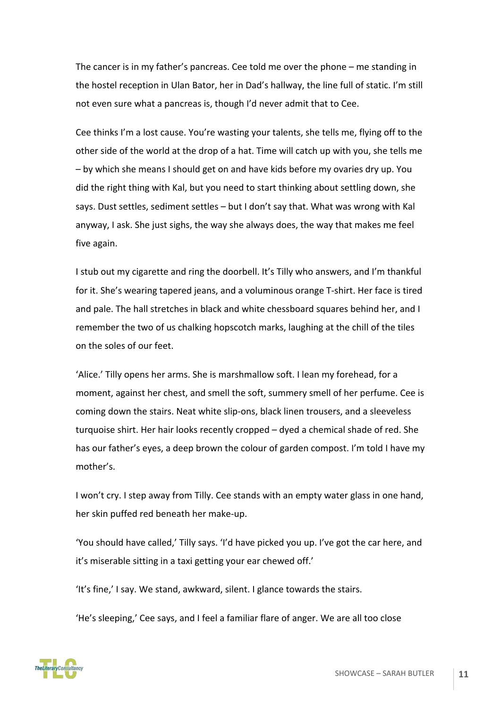The cancer is in my father's pancreas. Cee told me over the phone  $-$  me standing in the hostel reception in Ulan Bator, her in Dad's hallway, the line full of static. I'm still not even sure what a pancreas is, though I'd never admit that to Cee.

Cee thinks I'm a lost cause. You're wasting your talents, she tells me, flying off to the other side of the world at the drop of a hat. Time will catch up with you, she tells me - by which she means I should get on and have kids before my ovaries dry up. You did the right thing with Kal, but you need to start thinking about settling down, she says. Dust settles, sediment settles - but I don't say that. What was wrong with Kal anyway, I ask. She just sighs, the way she always does, the way that makes me feel five again.

I stub out my cigarette and ring the doorbell. It's Tilly who answers, and I'm thankful for it. She's wearing tapered jeans, and a voluminous orange T-shirt. Her face is tired and pale. The hall stretches in black and white chessboard squares behind her, and I remember the two of us chalking hopscotch marks, laughing at the chill of the tiles on the soles of our feet.

'Alice.' Tilly opens her arms. She is marshmallow soft. I lean my forehead, for a moment, against her chest, and smell the soft, summery smell of her perfume. Cee is coming down the stairs. Neat white slip-ons, black linen trousers, and a sleeveless turquoise shirt. Her hair looks recently cropped - dyed a chemical shade of red. She has our father's eyes, a deep brown the colour of garden compost. I'm told I have my mother's.

I won't cry. I step away from Tilly. Cee stands with an empty water glass in one hand, her skin puffed red beneath her make-up.

'You should have called,' Tilly says. 'I'd have picked you up. I've got the car here, and it's miserable sitting in a taxi getting your ear chewed off.'

'It's fine,' I say. We stand, awkward, silent. I glance towards the stairs.

He's sleeping,' Cee says, and I feel a familiar flare of anger. We are all too close

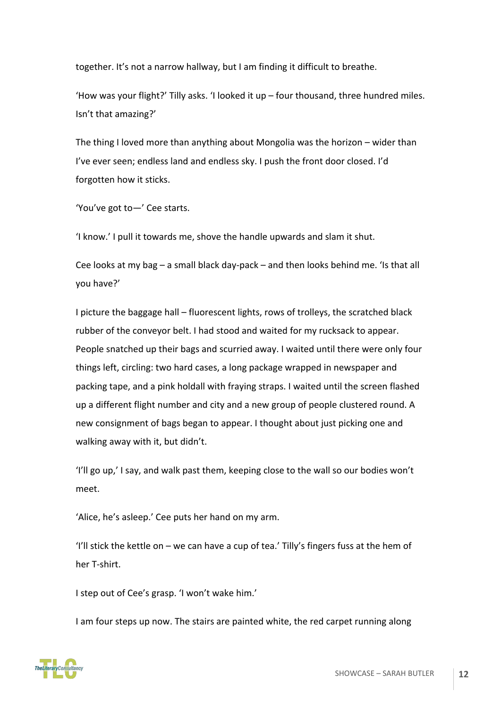together. It's not a narrow hallway, but I am finding it difficult to breathe.

'How was your flight?' Tilly asks. 'I looked it up – four thousand, three hundred miles. Isn't that amazing?'

The thing I loved more than anything about Mongolia was the horizon  $-$  wider than I've ever seen; endless land and endless sky. I push the front door closed. I'd forgotten how it sticks.

'You've got to-' Cee starts.

'I know.' I pull it towards me, shove the handle upwards and slam it shut.

Cee looks at my bag  $-$  a small black day-pack  $-$  and then looks behind me. 'Is that all you have?'

I picture the baggage hall – fluorescent lights, rows of trolleys, the scratched black rubber of the conveyor belt. I had stood and waited for my rucksack to appear. People snatched up their bags and scurried away. I waited until there were only four things left, circling: two hard cases, a long package wrapped in newspaper and packing tape, and a pink holdall with fraying straps. I waited until the screen flashed up a different flight number and city and a new group of people clustered round. A new consignment of bags began to appear. I thought about just picking one and walking away with it, but didn't.

'I'll go up,' I say, and walk past them, keeping close to the wall so our bodies won't meet.

'Alice, he's asleep.' Cee puts her hand on my arm.

'I'll stick the kettle on – we can have a cup of tea.' Tilly's fingers fuss at the hem of her T-shirt.

I step out of Cee's grasp. 'I won't wake him.'

I am four steps up now. The stairs are painted white, the red carpet running along

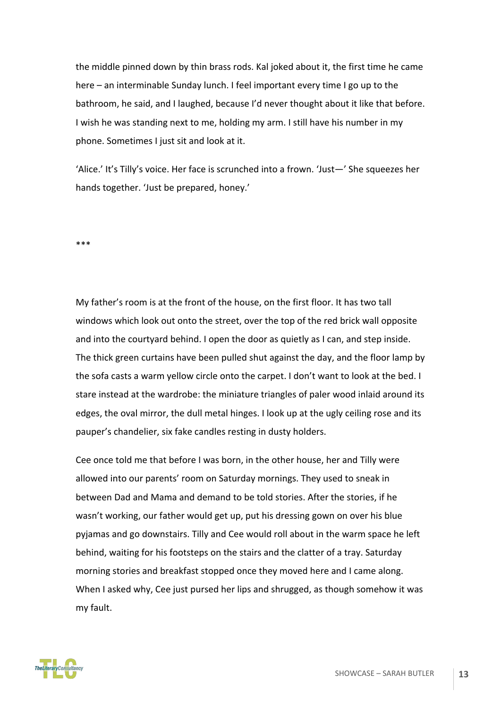the middle pinned down by thin brass rods. Kal joked about it, the first time he came here – an interminable Sunday lunch. I feel important every time I go up to the bathroom, he said, and I laughed, because I'd never thought about it like that before. I wish he was standing next to me, holding my arm. I still have his number in my phone. Sometimes I just sit and look at it.

'Alice.' It's Tilly's voice. Her face is scrunched into a frown. 'Just-' She squeezes her hands together. 'Just be prepared, honey.'

\*\*\*

My father's room is at the front of the house, on the first floor. It has two tall windows which look out onto the street, over the top of the red brick wall opposite and into the courtyard behind. I open the door as quietly as I can, and step inside. The thick green curtains have been pulled shut against the day, and the floor lamp by the sofa casts a warm yellow circle onto the carpet. I don't want to look at the bed. I stare instead at the wardrobe: the miniature triangles of paler wood inlaid around its edges, the oval mirror, the dull metal hinges. I look up at the ugly ceiling rose and its pauper's chandelier, six fake candles resting in dusty holders.

Cee once told me that before I was born, in the other house, her and Tilly were allowed into our parents' room on Saturday mornings. They used to sneak in between Dad and Mama and demand to be told stories. After the stories, if he wasn't working, our father would get up, put his dressing gown on over his blue pyjamas and go downstairs. Tilly and Cee would roll about in the warm space he left behind, waiting for his footsteps on the stairs and the clatter of a tray. Saturday morning stories and breakfast stopped once they moved here and I came along. When I asked why, Cee just pursed her lips and shrugged, as though somehow it was my fault.

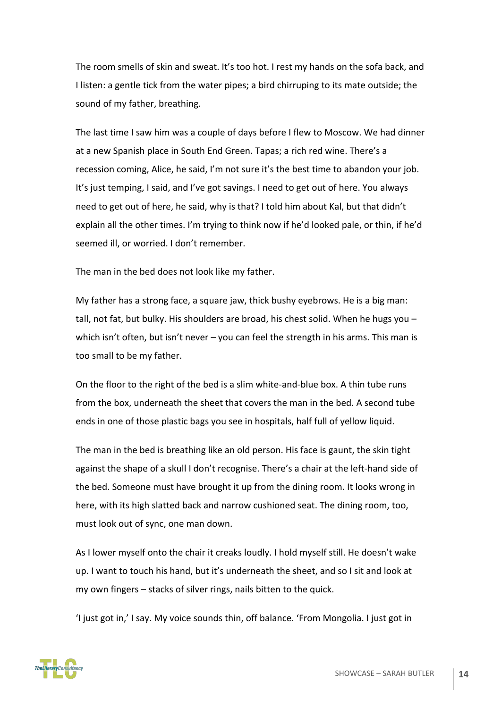The room smells of skin and sweat. It's too hot. I rest my hands on the sofa back, and I listen: a gentle tick from the water pipes; a bird chirruping to its mate outside; the sound of my father, breathing.

The last time I saw him was a couple of days before I flew to Moscow. We had dinner at a new Spanish place in South End Green. Tapas; a rich red wine. There's a recession coming, Alice, he said, I'm not sure it's the best time to abandon your job. It's just temping, I said, and I've got savings. I need to get out of here. You always need to get out of here, he said, why is that? I told him about Kal, but that didn't explain all the other times. I'm trying to think now if he'd looked pale, or thin, if he'd seemed ill, or worried. I don't remember.

The man in the bed does not look like my father.

My father has a strong face, a square jaw, thick bushy eyebrows. He is a big man: tall, not fat, but bulky. His shoulders are broad, his chest solid. When he hugs you  $$ which isn't often, but isn't never  $-$  you can feel the strength in his arms. This man is too small to be my father.

On the floor to the right of the bed is a slim white-and-blue box. A thin tube runs from the box, underneath the sheet that covers the man in the bed. A second tube ends in one of those plastic bags you see in hospitals, half full of yellow liquid.

The man in the bed is breathing like an old person. His face is gaunt, the skin tight against the shape of a skull I don't recognise. There's a chair at the left-hand side of the bed. Someone must have brought it up from the dining room. It looks wrong in here, with its high slatted back and narrow cushioned seat. The dining room, too, must look out of sync, one man down.

As I lower myself onto the chair it creaks loudly. I hold myself still. He doesn't wake up. I want to touch his hand, but it's underneath the sheet, and so I sit and look at my own fingers  $-$  stacks of silver rings, nails bitten to the quick.

'I just got in,' I say. My voice sounds thin, off balance. 'From Mongolia. I just got in

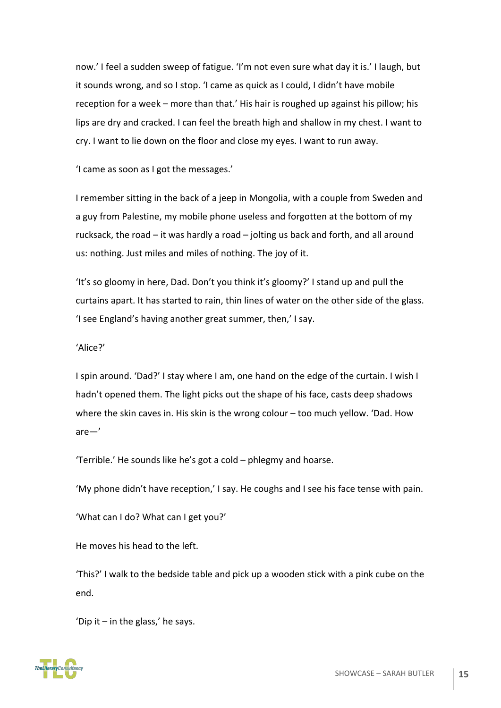now.' I feel a sudden sweep of fatigue. 'I'm not even sure what day it is.' I laugh, but it sounds wrong, and so I stop. 'I came as quick as I could, I didn't have mobile reception for a week – more than that.' His hair is roughed up against his pillow; his lips are dry and cracked. I can feel the breath high and shallow in my chest. I want to cry. I want to lie down on the floor and close my eyes. I want to run away.

'I came as soon as I got the messages.'

I remember sitting in the back of a jeep in Mongolia, with a couple from Sweden and a guy from Palestine, my mobile phone useless and forgotten at the bottom of my rucksack, the road  $-$  it was hardly a road  $-$  jolting us back and forth, and all around us: nothing. Just miles and miles of nothing. The joy of it.

'It's so gloomy in here, Dad. Don't you think it's gloomy?' I stand up and pull the curtains apart. It has started to rain, thin lines of water on the other side of the glass. 'I see England's having another great summer, then,' I say.

'Alice?'

I spin around. 'Dad?' I stay where I am, one hand on the edge of the curtain. I wish I hadn't opened them. The light picks out the shape of his face, casts deep shadows where the skin caves in. His skin is the wrong colour  $-$  too much yellow. 'Dad. How are—'

'Terrible.' He sounds like he's got a cold – phlegmy and hoarse.

'My phone didn't have reception,' I say. He coughs and I see his face tense with pain.

'What can I do? What can I get you?'

He moves his head to the left.

'This?' I walk to the bedside table and pick up a wooden stick with a pink cube on the end.

'Dip it  $-$  in the glass,' he says.

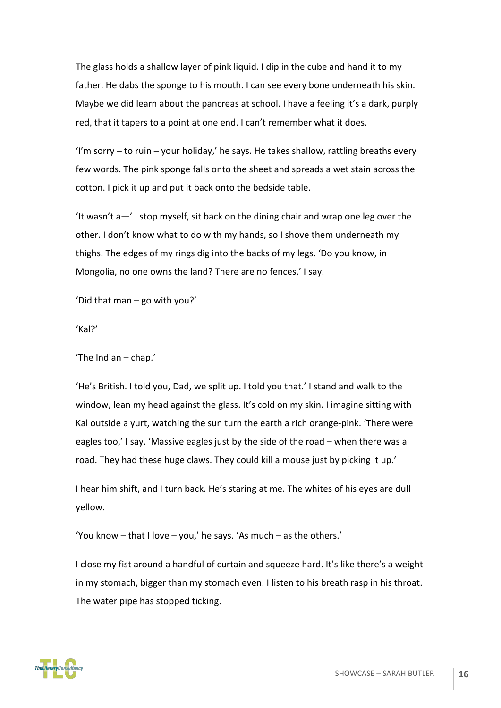The glass holds a shallow layer of pink liquid. I dip in the cube and hand it to my father. He dabs the sponge to his mouth. I can see every bone underneath his skin. Maybe we did learn about the pancreas at school. I have a feeling it's a dark, purply red, that it tapers to a point at one end. I can't remember what it does.

'I'm sorry – to ruin – your holiday,' he says. He takes shallow, rattling breaths every few words. The pink sponge falls onto the sheet and spreads a wet stain across the cotton. I pick it up and put it back onto the bedside table.

'It wasn't  $a$  –' I stop myself, sit back on the dining chair and wrap one leg over the other. I don't know what to do with my hands, so I shove them underneath my thighs. The edges of my rings dig into the backs of my legs. 'Do you know, in Mongolia, no one owns the land? There are no fences,' I say.

'Did that man  $-$  go with you?'

'Kal?'

'The Indian  $-$  chap.'

He's British. I told you, Dad, we split up. I told you that.' I stand and walk to the window, lean my head against the glass. It's cold on my skin. I imagine sitting with Kal outside a yurt, watching the sun turn the earth a rich orange-pink. 'There were eagles too,' I say. 'Massive eagles just by the side of the road – when there was a road. They had these huge claws. They could kill a mouse just by picking it up.'

I hear him shift, and I turn back. He's staring at me. The whites of his eyes are dull yellow.

'You know  $-$  that I love  $-$  you,' he says. 'As much  $-$  as the others.'

I close my fist around a handful of curtain and squeeze hard. It's like there's a weight in my stomach, bigger than my stomach even. I listen to his breath rasp in his throat. The water pipe has stopped ticking.

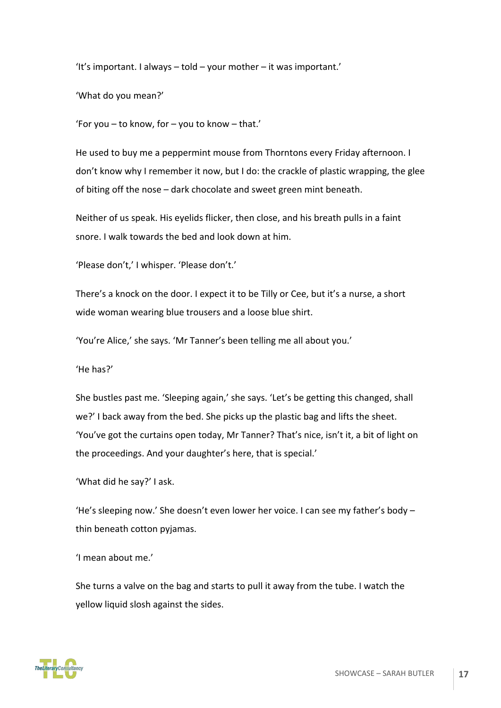'It's important. I always  $-$  told  $-$  your mother  $-$  it was important.'

'What do you mean?'

'For you  $-$  to know, for  $-$  you to know  $-$  that.'

He used to buy me a peppermint mouse from Thorntons every Friday afternoon. I don't know why I remember it now, but I do: the crackle of plastic wrapping, the glee of biting off the nose – dark chocolate and sweet green mint beneath.

Neither of us speak. His eyelids flicker, then close, and his breath pulls in a faint snore. I walk towards the bed and look down at him.

'Please don't,' I whisper. 'Please don't.'

There's a knock on the door. I expect it to be Tilly or Cee, but it's a nurse, a short wide woman wearing blue trousers and a loose blue shirt.

'You're Alice,' she says. 'Mr Tanner's been telling me all about you.'

'He has?'

She bustles past me. 'Sleeping again,' she says. 'Let's be getting this changed, shall we?' I back away from the bed. She picks up the plastic bag and lifts the sheet. 'You've got the curtains open today, Mr Tanner? That's nice, isn't it, a bit of light on the proceedings. And your daughter's here, that is special.'

'What did he say?' I ask.

'He's sleeping now.' She doesn't even lower her voice. I can see my father's body thin beneath cotton pyjamas.

'I mean about me.'

She turns a valve on the bag and starts to pull it away from the tube. I watch the yellow liquid slosh against the sides.

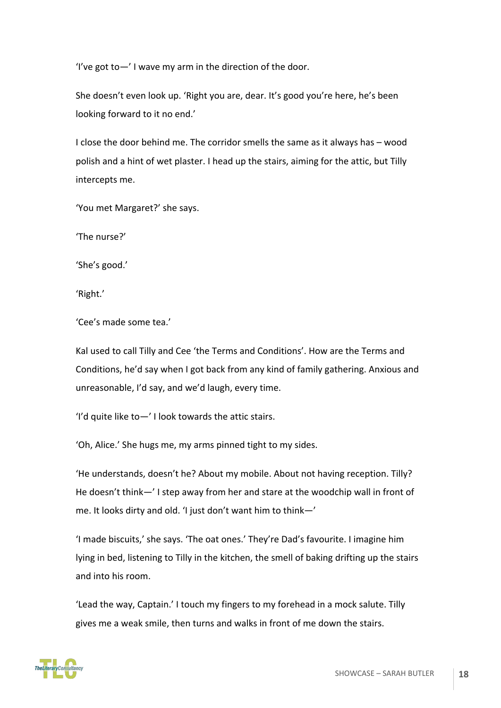'I've got to $-$ ' I wave my arm in the direction of the door.

She doesn't even look up. 'Right you are, dear. It's good you're here, he's been looking forward to it no end.'

I close the door behind me. The corridor smells the same as it always has – wood polish and a hint of wet plaster. I head up the stairs, aiming for the attic, but Tilly intercepts me.

'You met Margaret?' she says.

'The nurse?' 

'She's good.'

'Right.'

'Cee's made some tea.'

Kal used to call Tilly and Cee 'the Terms and Conditions'. How are the Terms and Conditions, he'd say when I got back from any kind of family gathering. Anxious and unreasonable, I'd say, and we'd laugh, every time.

'I'd quite like to $-$ ' I look towards the attic stairs.

'Oh, Alice.' She hugs me, my arms pinned tight to my sides.

'He understands, doesn't he? About my mobile. About not having reception. Tilly? He doesn't think—' I step away from her and stare at the woodchip wall in front of me. It looks dirty and old. 'I just don't want him to think-'

'I made biscuits,' she says. 'The oat ones.' They're Dad's favourite. I imagine him lying in bed, listening to Tilly in the kitchen, the smell of baking drifting up the stairs and into his room.

'Lead the way, Captain.' I touch my fingers to my forehead in a mock salute. Tilly gives me a weak smile, then turns and walks in front of me down the stairs.